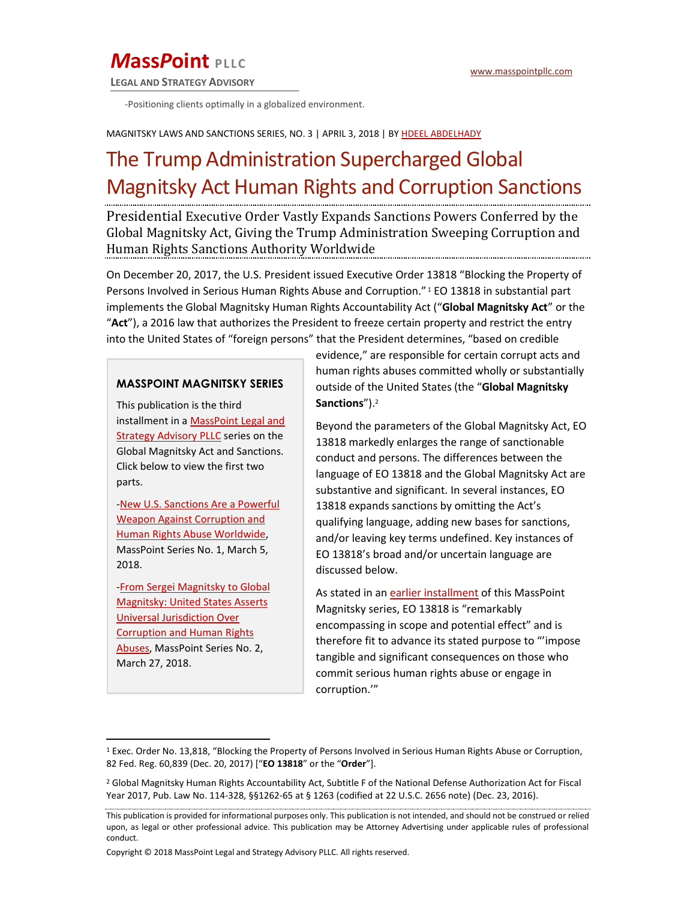## **MassPoint** PLLC

**LEGAL AND STRATEGY ADVISORY** 

-Positioning clients optimally in a globalized environment.

#### MAGNITSKY LAWS AND SANCTIONS SERIES, NO. 3 | APRIL 3, 2018 | BY HDEEL ABDELHADY

# The Trump Administration Supercharged Global **Magnitsky Act Human Rights and Corruption Sanctions**

Presidential Executive Order Vastly Expands Sanctions Powers Conferred by the Global Magnitsky Act, Giving the Trump Administration Sweeping Corruption and Human Rights Sanctions Authority Worldwide

On December 20, 2017, the U.S. President issued Executive Order 13818 "Blocking the Property of Persons Involved in Serious Human Rights Abuse and Corruption." 1 EO 13818 in substantial part implements the Global Magnitsky Human Rights Accountability Act ("Global Magnitsky Act" or the "Act"), a 2016 law that authorizes the President to freeze certain property and restrict the entry into the United States of "foreign persons" that the President determines, "based on credible

#### **MASSPOINT MAGNITSKY SERIES**

This publication is the third installment in a MassPoint Legal and **Strategy Advisory PLLC** series on the Global Magnitsky Act and Sanctions. Click below to view the first two parts.

-New U.S. Sanctions Are a Powerful **Weapon Against Corruption and** Human Rights Abuse Worldwide, MassPoint Series No. 1, March 5, 2018.

-From Sergei Magnitsky to Global **Magnitsky: United States Asserts Universal Jurisdiction Over Corruption and Human Rights** Abuses, MassPoint Series No. 2, March 27, 2018.

evidence," are responsible for certain corrupt acts and human rights abuses committed wholly or substantially outside of the United States (the "Global Magnitsky Sanctions").<sup>2</sup>

Beyond the parameters of the Global Magnitsky Act, EO 13818 markedly enlarges the range of sanctionable conduct and persons. The differences between the language of EO 13818 and the Global Magnitsky Act are substantive and significant. In several instances, EO 13818 expands sanctions by omitting the Act's qualifying language, adding new bases for sanctions, and/or leaving key terms undefined. Key instances of EO 13818's broad and/or uncertain language are discussed below.

As stated in an earlier installment of this MassPoint Magnitsky series, EO 13818 is "remarkably encompassing in scope and potential effect" and is therefore fit to advance its stated purpose to "'impose tangible and significant consequences on those who commit serious human rights abuse or engage in corruption.""

<sup>&</sup>lt;sup>1</sup> Exec. Order No. 13,818, "Blocking the Property of Persons Involved in Serious Human Rights Abuse or Corruption, 82 Fed. Reg. 60,839 (Dec. 20, 2017) ["EO 13818" or the "Order"].

<sup>&</sup>lt;sup>2</sup> Global Magnitsky Human Rights Accountability Act, Subtitle F of the National Defense Authorization Act for Fiscal Year 2017, Pub. Law No. 114-328, §§1262-65 at § 1263 (codified at 22 U.S.C. 2656 note) (Dec. 23, 2016).

This publication is provided for informational purposes only. This publication is not intended, and should not be construed or relied upon, as legal or other professional advice. This publication may be Attorney Advertising under applicable rules of professional conduct.

Copyright © 2018 MassPoint Legal and Strategy Advisory PLLC. All rights reserved.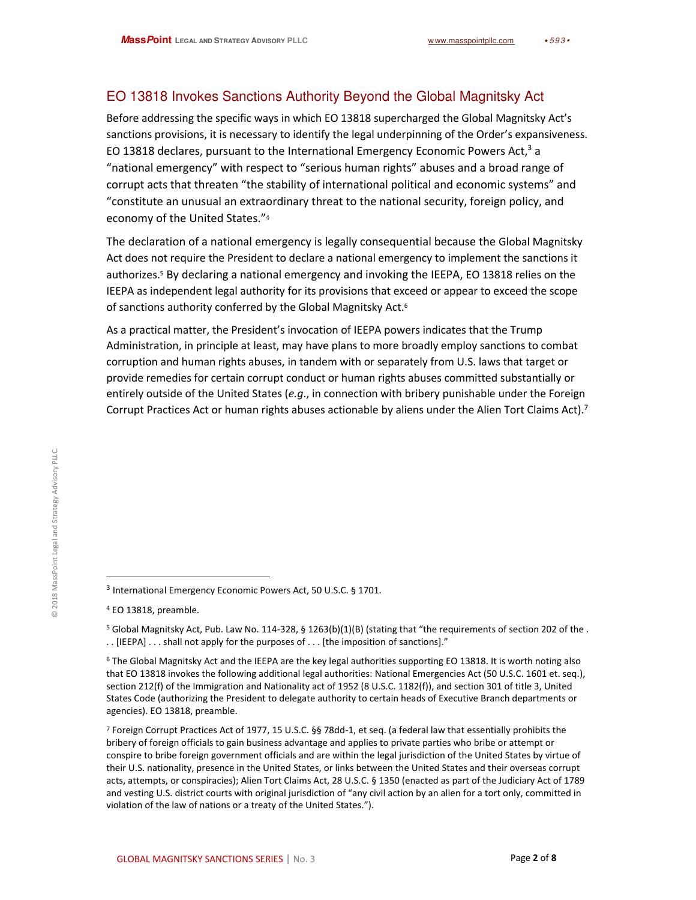## EO 13818 Invokes Sanctions Authority Beyond the Global Magnitsky Act

Before addressing the specific ways in which EO 13818 supercharged the Global Magnitsky Act's sanctions provisions, it is necessary to identify the legal underpinning of the Order's expansiveness. EO 13818 declares, pursuant to the International Emergency Economic Powers Act,<sup>3</sup> a "national emergency" with respect to "serious human rights" abuses and a broad range of corrupt acts that threaten "the stability of international political and economic systems" and "constitute an unusual an extraordinary threat to the national security, foreign policy, and economy of the United States."4

The declaration of a national emergency is legally consequential because the Global Magnitsky Act does not require the President to declare a national emergency to implement the sanctions it authorizes.<sup>5</sup> By declaring a national emergency and invoking the IEEPA, EO 13818 relies on the IEEPA as independent legal authority for its provisions that exceed or appear to exceed the scope of sanctions authority conferred by the Global Magnitsky Act.<sup>6</sup>

As a practical matter, the President's invocation of IEEPA powers indicates that the Trump Administration, in principle at least, may have plans to more broadly employ sanctions to combat corruption and human rights abuses, in tandem with or separately from U.S. laws that target or provide remedies for certain corrupt conduct or human rights abuses committed substantially or entirely outside of the United States (e.g., in connection with bribery punishable under the Foreign Corrupt Practices Act or human rights abuses actionable by aliens under the Alien Tort Claims Act).<sup>7</sup>

<sup>&</sup>lt;sup>3</sup> International Emergency Economic Powers Act, 50 U.S.C. § 1701.

<sup>&</sup>lt;sup>4</sup> EO 13818, preamble.

<sup>&</sup>lt;sup>5</sup> Global Magnitsky Act, Pub. Law No. 114-328, § 1263(b)(1)(B) (stating that "the requirements of section 202 of the. .. [IEEPA] . . . shall not apply for the purposes of . . . [the imposition of sanctions]."

<sup>&</sup>lt;sup>6</sup> The Global Magnitsky Act and the IEEPA are the key legal authorities supporting EO 13818. It is worth noting also that EO 13818 invokes the following additional legal authorities: National Emergencies Act (50 U.S.C. 1601 et. seq.), section 212(f) of the Immigration and Nationality act of 1952 (8 U.S.C. 1182(f)), and section 301 of title 3, United States Code (authorizing the President to delegate authority to certain heads of Executive Branch departments or agencies). EO 13818, preamble.

<sup>&</sup>lt;sup>7</sup> Foreign Corrupt Practices Act of 1977, 15 U.S.C. §§ 78dd-1, et seq. (a federal law that essentially prohibits the bribery of foreign officials to gain business advantage and applies to private parties who bribe or attempt or conspire to bribe foreign government officials and are within the legal jurisdiction of the United States by virtue of their U.S. nationality, presence in the United States, or links between the United States and their overseas corrupt acts, attempts, or conspiracies); Alien Tort Claims Act, 28 U.S.C. § 1350 (enacted as part of the Judiciary Act of 1789 and vesting U.S. district courts with original jurisdiction of "any civil action by an alien for a tort only, committed in violation of the law of nations or a treaty of the United States.").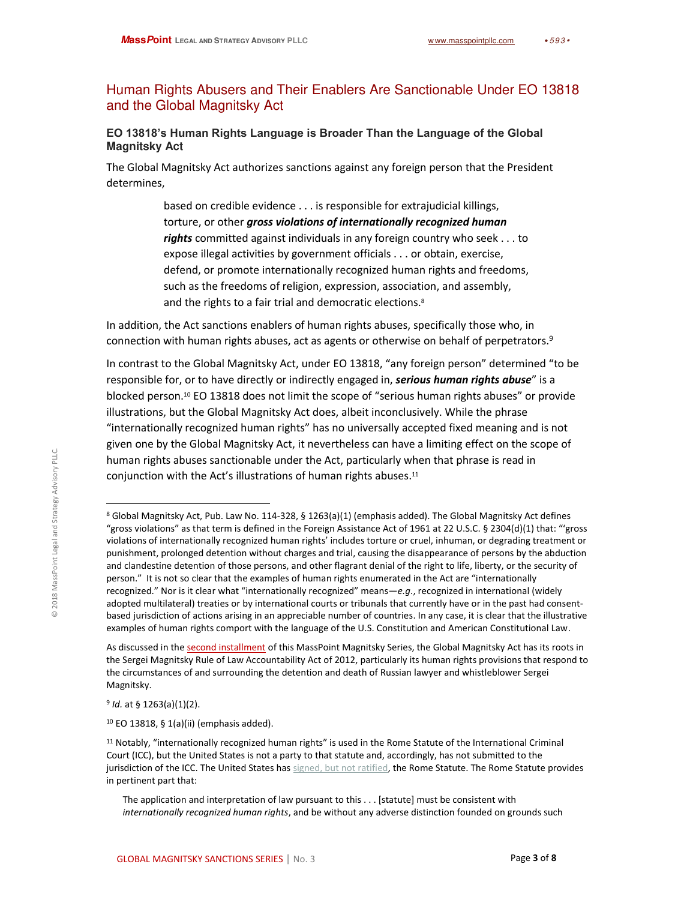## Human Rights Abusers and Their Enablers Are Sanctionable Under EO 13818 and the Global Magnitsky Act

#### EO 13818's Human Rights Language is Broader Than the Language of the Global **Magnitsky Act**

The Global Magnitsky Act authorizes sanctions against any foreign person that the President determines.

> based on credible evidence . . . is responsible for extrajudicial killings, torture, or other gross violations of internationally recognized human rights committed against individuals in any foreign country who seek . . . to expose illegal activities by government officials . . . or obtain, exercise, defend, or promote internationally recognized human rights and freedoms, such as the freedoms of religion, expression, association, and assembly, and the rights to a fair trial and democratic elections.<sup>8</sup>

In addition, the Act sanctions enablers of human rights abuses, specifically those who, in connection with human rights abuses, act as agents or otherwise on behalf of perpetrators.<sup>9</sup>

In contrast to the Global Magnitsky Act, under EO 13818, "any foreign person" determined "to be responsible for, or to have directly or indirectly engaged in, serious human rights abuse" is a blocked person.<sup>10</sup> EO 13818 does not limit the scope of "serious human rights abuses" or provide illustrations, but the Global Magnitsky Act does, albeit inconclusively. While the phrase "internationally recognized human rights" has no universally accepted fixed meaning and is not given one by the Global Magnitsky Act, it nevertheless can have a limiting effect on the scope of human rights abuses sanctionable under the Act, particularly when that phrase is read in conjunction with the Act's illustrations of human rights abuses.<sup>11</sup>

 $9$  Id. at § 1263(a)(1)(2).

<sup>10</sup> EO 13818, § 1(a)(ii) (emphasis added).

<sup>&</sup>lt;sup>8</sup> Global Magnitsky Act, Pub. Law No. 114-328, § 1263(a)(1) (emphasis added). The Global Magnitsky Act defines "gross violations" as that term is defined in the Foreign Assistance Act of 1961 at 22 U.S.C. § 2304(d)(1) that: "'gross violations of internationally recognized human rights' includes torture or cruel, inhuman, or degrading treatment or punishment, prolonged detention without charges and trial, causing the disappearance of persons by the abduction and clandestine detention of those persons, and other flagrant denial of the right to life, liberty, or the security of person." It is not so clear that the examples of human rights enumerated in the Act are "internationally recognized." Nor is it clear what "internationally recognized" means—e.g., recognized in international (widely adopted multilateral) treaties or by international courts or tribunals that currently have or in the past had consentbased jurisdiction of actions arising in an appreciable number of countries. In any case, it is clear that the illustrative examples of human rights comport with the language of the U.S. Constitution and American Constitutional Law.

As discussed in the second installment of this MassPoint Magnitsky Series, the Global Magnitsky Act has its roots in the Sergei Magnitsky Rule of Law Accountability Act of 2012, particularly its human rights provisions that respond to the circumstances of and surrounding the detention and death of Russian lawyer and whistleblower Sergei Magnitsky.

<sup>&</sup>lt;sup>11</sup> Notably, "internationally recognized human rights" is used in the Rome Statute of the International Criminal Court (ICC), but the United States is not a party to that statute and, accordingly, has not submitted to the jurisdiction of the ICC. The United States has signed, but not ratified, the Rome Statute. The Rome Statute provides in pertinent part that:

The application and interpretation of law pursuant to this . . . [statute] must be consistent with internationally recognized human rights, and be without any adverse distinction founded on grounds such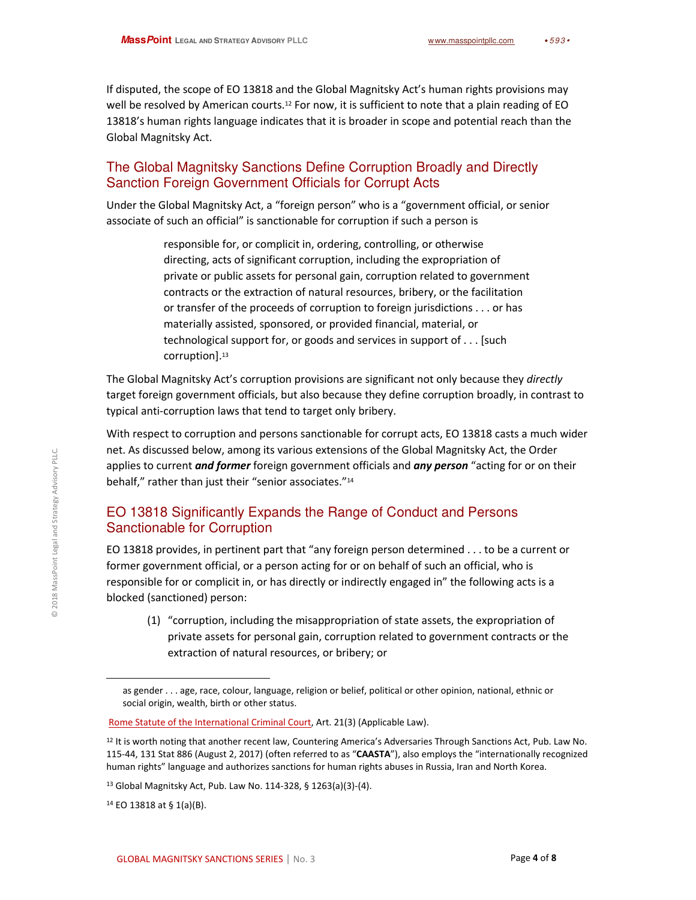If disputed, the scope of EO 13818 and the Global Magnitsky Act's human rights provisions may well be resolved by American courts.<sup>12</sup> For now, it is sufficient to note that a plain reading of EO 13818's human rights language indicates that it is broader in scope and potential reach than the Global Magnitsky Act.

## The Global Magnitsky Sanctions Define Corruption Broadly and Directly **Sanction Foreign Government Officials for Corrupt Acts**

Under the Global Magnitsky Act, a "foreign person" who is a "government official, or senior associate of such an official" is sanctionable for corruption if such a person is

> responsible for, or complicit in, ordering, controlling, or otherwise directing, acts of significant corruption, including the expropriation of private or public assets for personal gain, corruption related to government contracts or the extraction of natural resources, bribery, or the facilitation or transfer of the proceeds of corruption to foreign jurisdictions . . . or has materially assisted, sponsored, or provided financial, material, or technological support for, or goods and services in support of  $\dots$  [such] corruption].<sup>13</sup>

The Global Magnitsky Act's corruption provisions are significant not only because they directly target foreign government officials, but also because they define corruption broadly, in contrast to typical anti-corruption laws that tend to target only bribery.

With respect to corruption and persons sanctionable for corrupt acts, EO 13818 casts a much wider net. As discussed below, among its various extensions of the Global Magnitsky Act, the Order applies to current *and former* foreign government officials and *any person* "acting for or on their behalf," rather than just their "senior associates."<sup>14</sup>

## EO 13818 Significantly Expands the Range of Conduct and Persons Sanctionable for Corruption

EO 13818 provides, in pertinent part that "any foreign person determined . . . to be a current or former government official, or a person acting for or on behalf of such an official, who is responsible for or complicit in, or has directly or indirectly engaged in" the following acts is a blocked (sanctioned) person:

(1) "corruption, including the misappropriation of state assets, the expropriation of private assets for personal gain, corruption related to government contracts or the extraction of natural resources, or bribery; or

as gender . . . age, race, colour, language, religion or belief, political or other opinion, national, ethnic or social origin, wealth, birth or other status.

Rome Statute of the International Criminal Court, Art. 21(3) (Applicable Law).

<sup>&</sup>lt;sup>12</sup> It is worth noting that another recent law, Countering America's Adversaries Through Sanctions Act, Pub. Law No. 115-44, 131 Stat 886 (August 2, 2017) (often referred to as "CAASTA"), also employs the "internationally recognized human rights" language and authorizes sanctions for human rights abuses in Russia, Iran and North Korea.

<sup>&</sup>lt;sup>13</sup> Global Magnitsky Act, Pub. Law No. 114-328, § 1263(a)(3)-(4).

<sup>&</sup>lt;sup>14</sup> EO 13818 at § 1(a)(B).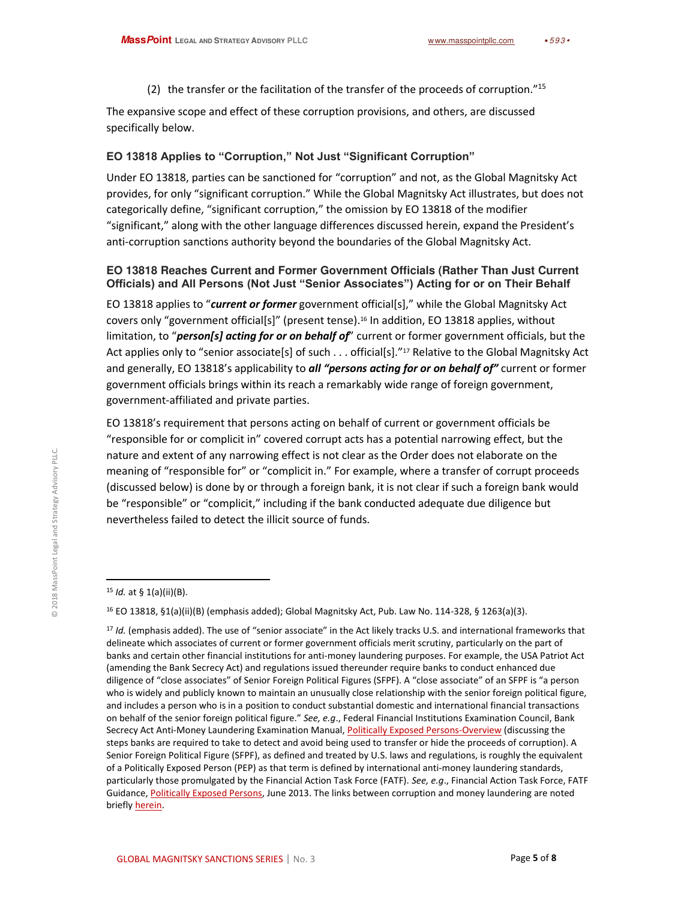(2) the transfer or the facilitation of the transfer of the proceeds of corruption."15

The expansive scope and effect of these corruption provisions, and others, are discussed specifically below.

#### EO 13818 Applies to "Corruption," Not Just "Significant Corruption"

Under EO 13818, parties can be sanctioned for "corruption" and not, as the Global Magnitsky Act provides, for only "significant corruption." While the Global Magnitsky Act illustrates, but does not categorically define, "significant corruption," the omission by EO 13818 of the modifier "significant," along with the other language differences discussed herein, expand the President's anti-corruption sanctions authority beyond the boundaries of the Global Magnitsky Act.

#### <span id="page-4-0"></span>EO 13818 Reaches Current and Former Government Officials (Rather Than Just Current Officials) and All Persons (Not Just "Senior Associates") Acting for or on Their Behalf

EO 13818 applies to "current or former government official[s]," while the Global Magnitsky Act covers only "government official[s]" (present tense).<sup>16</sup> In addition, EO 13818 applies, without limitation, to "person[s] acting for or on behalf of" current or former government officials, but the Act applies only to "senior associate[s] of such . . . official[s]."<sup>17</sup> Relative to the Global Magnitsky Act and generally, EO 13818's applicability to *all "persons acting for or on behalf of"* current or former government officials brings within its reach a remarkably wide range of foreign government, government-affiliated and private parties.

EO 13818's requirement that persons acting on behalf of current or government officials be "responsible for or complicit in" covered corrupt acts has a potential narrowing effect, but the nature and extent of any narrowing effect is not clear as the Order does not elaborate on the meaning of "responsible for" or "complicit in." For example, where a transfer of corrupt proceeds (discussed below) is done by or through a foreign bank, it is not clear if such a foreign bank would be "responsible" or "complicit," including if the bank conducted adequate due diligence but nevertheless failed to detect the illicit source of funds.

<sup>&</sup>lt;sup>15</sup> *Id.* at § 1(a)(ii)(B).

<sup>&</sup>lt;sup>16</sup> EO 13818, §1(a)(ii)(B) (emphasis added); Global Magnitsky Act, Pub. Law No. 114-328, § 1263(a)(3).

<sup>&</sup>lt;sup>17</sup> Id. (emphasis added). The use of "senior associate" in the Act likely tracks U.S. and international frameworks that delineate which associates of current or former government officials merit scrutiny, particularly on the part of banks and certain other financial institutions for anti-money laundering purposes. For example, the USA Patriot Act (amending the Bank Secrecy Act) and regulations issued thereunder require banks to conduct enhanced due diligence of "close associates" of Senior Foreign Political Figures (SFPF). A "close associate" of an SFPF is "a person who is widely and publicly known to maintain an unusually close relationship with the senior foreign political figure, and includes a person who is in a position to conduct substantial domestic and international financial transactions on behalf of the senior foreign political figure." See, e.g., Federal Financial Institutions Examination Council, Bank Secrecy Act Anti-Money Laundering Examination Manual, Politically Exposed Persons-Overview (discussing the steps banks are required to take to detect and avoid being used to transfer or hide the proceeds of corruption). A Senior Foreign Political Figure (SFPF), as defined and treated by U.S. laws and regulations, is roughly the equivalent of a Politically Exposed Person (PEP) as that term is defined by international anti-money laundering standards, particularly those promulgated by the Financial Action Task Force (FATF). See, e.g., Financial Action Task Force, FATF Guidance, Politically Exposed Persons, June 2013. The links between corruption and money laundering are noted briefly herein.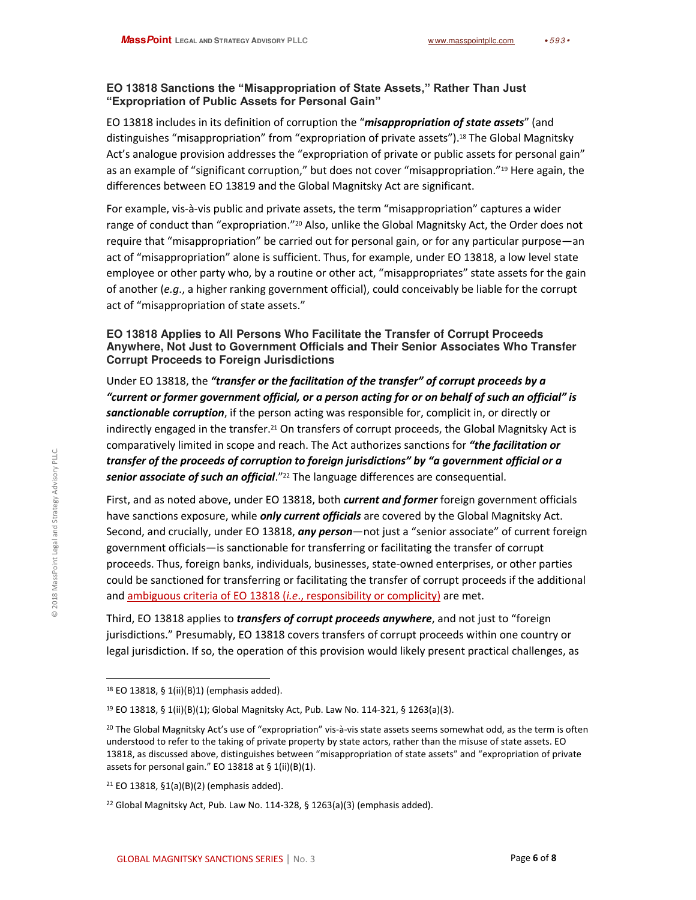#### EO 13818 Sanctions the "Misappropriation of State Assets," Rather Than Just "Expropriation of Public Assets for Personal Gain"

EO 13818 includes in its definition of corruption the "*misappropriation of state assets*" (and distinguishes "misappropriation" from "expropriation of private assets").<sup>18</sup> The Global Magnitsky Act's analogue provision addresses the "expropriation of private or public assets for personal gain" as an example of "significant corruption," but does not cover "misappropriation."<sup>19</sup> Here again, the differences between EO 13819 and the Global Magnitsky Act are significant.

For example, vis-à-vis public and private assets, the term "misappropriation" captures a wider range of conduct than "expropriation."20 Also, unlike the Global Magnitsky Act, the Order does not require that "misappropriation" be carried out for personal gain, or for any particular purpose—an act of "misappropriation" alone is sufficient. Thus, for example, under EO 13818, a low level state employee or other party who, by a routine or other act, "misappropriates" state assets for the gain of another (e.g., a higher ranking government official), could conceivably be liable for the corrupt act of "misappropriation of state assets."

#### EO 13818 Applies to All Persons Who Facilitate the Transfer of Corrupt Proceeds Anywhere, Not Just to Government Officials and Their Senior Associates Who Transfer **Corrupt Proceeds to Foreign Jurisdictions**

Under EO 13818, the "transfer or the facilitation of the transfer" of corrupt proceeds by a "current or former government official, or a person acting for or on behalf of such an official" is sanctionable corruption, if the person acting was responsible for, complicit in, or directly or indirectly engaged in the transfer.<sup>21</sup> On transfers of corrupt proceeds, the Global Magnitsky Act is comparatively limited in scope and reach. The Act authorizes sanctions for "the facilitation or transfer of the proceeds of corruption to foreign jurisdictions" by "a government official or a senior associate of such an official."<sup>22</sup> The language differences are consequential.

First, and as noted above, under EO 13818, both current and former foreign government officials have sanctions exposure, while *only current officials* are covered by the Global Magnitsky Act. Second, and crucially, under EO 13818, any person-not just a "senior associate" of current foreign government officials—is sanctionable for transferring or facilitating the transfer of corrupt proceeds. Thus, foreign banks, individuals, businesses, state-owned enterprises, or other parties could be sanctioned for transferring or facilitating the transfer of corrupt proceeds if the additional and ambiguous criteria of EO 13818 (i.e., responsibility or complicity) are met.

Third, EO 13818 applies to *transfers of corrupt proceeds anywhere*, and not just to "foreign jurisdictions." Presumably, EO 13818 covers transfers of corrupt proceeds within one country or legal jurisdiction. If so, the operation of this provision would likely present practical challenges, as

<sup>&</sup>lt;sup>18</sup> EO 13818, § 1(ii)(B)1) (emphasis added).

<sup>&</sup>lt;sup>19</sup> EO 13818, § 1(ii)(B)(1); Global Magnitsky Act, Pub. Law No. 114-321, § 1263(a)(3).

<sup>&</sup>lt;sup>20</sup> The Global Magnitsky Act's use of "expropriation" vis-à-vis state assets seems somewhat odd, as the term is often understood to refer to the taking of private property by state actors, rather than the misuse of state assets. EO 13818, as discussed above, distinguishes between "misappropriation of state assets" and "expropriation of private assets for personal gain." EO 13818 at § 1(ii)(B)(1).

<sup>&</sup>lt;sup>21</sup> EO 13818, §1(a)(B)(2) (emphasis added).

<sup>&</sup>lt;sup>22</sup> Global Magnitsky Act, Pub. Law No. 114-328, § 1263(a)(3) (emphasis added).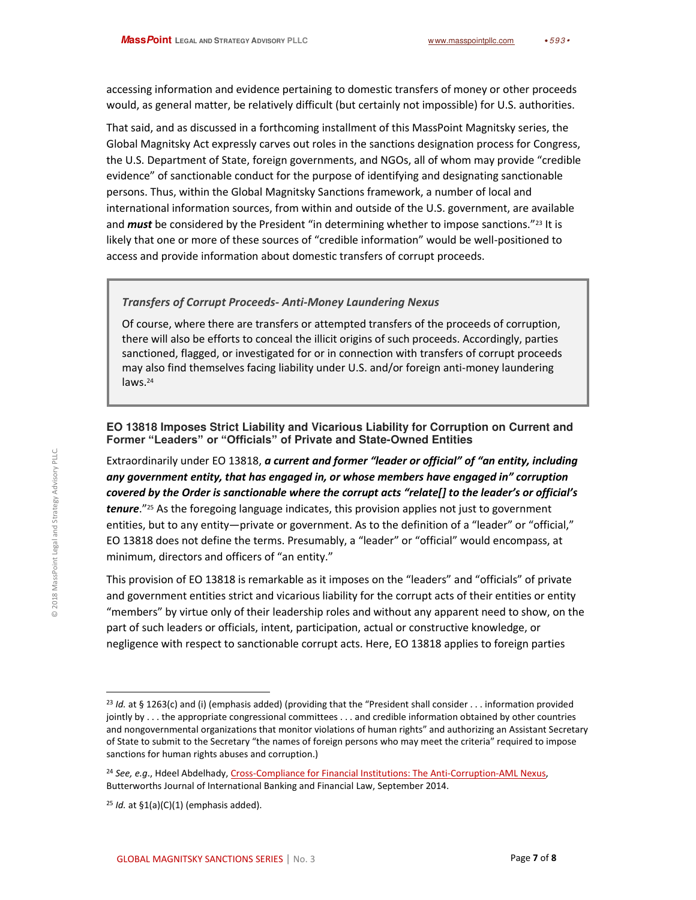accessing information and evidence pertaining to domestic transfers of money or other proceeds would, as general matter, be relatively difficult (but certainly not impossible) for U.S. authorities.

That said, and as discussed in a forthcoming installment of this MassPoint Magnitsky series, the Global Magnitsky Act expressly carves out roles in the sanctions designation process for Congress, the U.S. Department of State, foreign governments, and NGOs, all of whom may provide "credible evidence" of sanctionable conduct for the purpose of identifying and designating sanctionable persons. Thus, within the Global Magnitsky Sanctions framework, a number of local and international information sources, from within and outside of the U.S. government, are available and must be considered by the President "in determining whether to impose sanctions."<sup>23</sup> It is likely that one or more of these sources of "credible information" would be well-positioned to access and provide information about domestic transfers of corrupt proceeds.

#### <span id="page-6-0"></span>**Transfers of Corrupt Proceeds- Anti-Money Laundering Nexus**

Of course, where there are transfers or attempted transfers of the proceeds of corruption, there will also be efforts to conceal the illicit origins of such proceeds. Accordingly, parties sanctioned, flagged, or investigated for or in connection with transfers of corrupt proceeds may also find themselves facing liability under U.S. and/or foreign anti-money laundering laws.<sup>24</sup>

#### EO 13818 Imposes Strict Liability and Vicarious Liability for Corruption on Current and Former "Leaders" or "Officials" of Private and State-Owned Entities

Extraordinarily under EO 13818, a current and former "leader or official" of "an entity, including any government entity, that has engaged in, or whose members have engaged in" corruption covered by the Order is sanctionable where the corrupt acts "relate[] to the leader's or official's **tenure.**"<sup>25</sup> As the foregoing language indicates, this provision applies not just to government entities, but to any entity—private or government. As to the definition of a "leader" or "official," EO 13818 does not define the terms. Presumably, a "leader" or "official" would encompass, at minimum, directors and officers of "an entity."

This provision of EO 13818 is remarkable as it imposes on the "leaders" and "officials" of private and government entities strict and vicarious liability for the corrupt acts of their entities or entity "members" by virtue only of their leadership roles and without any apparent need to show, on the part of such leaders or officials, intent, participation, actual or constructive knowledge, or negligence with respect to sanctionable corrupt acts. Here, EO 13818 applies to foreign parties

<sup>&</sup>lt;sup>23</sup> Id. at § 1263(c) and (i) (emphasis added) (providing that the "President shall consider . . . information provided jointly by . . . the appropriate congressional committees . . . and credible information obtained by other countries and nongovernmental organizations that monitor violations of human rights" and authorizing an Assistant Secretary of State to submit to the Secretary "the names of foreign persons who may meet the criteria" required to impose sanctions for human rights abuses and corruption.)

<sup>&</sup>lt;sup>24</sup> See, e.g., Hdeel Abdelhady, Cross-Compliance for Financial Institutions: The Anti-Corruption-AML Nexus, Butterworths Journal of International Banking and Financial Law, September 2014.

 $25$  Id. at  $$1(a)(C)(1)$  (emphasis added).